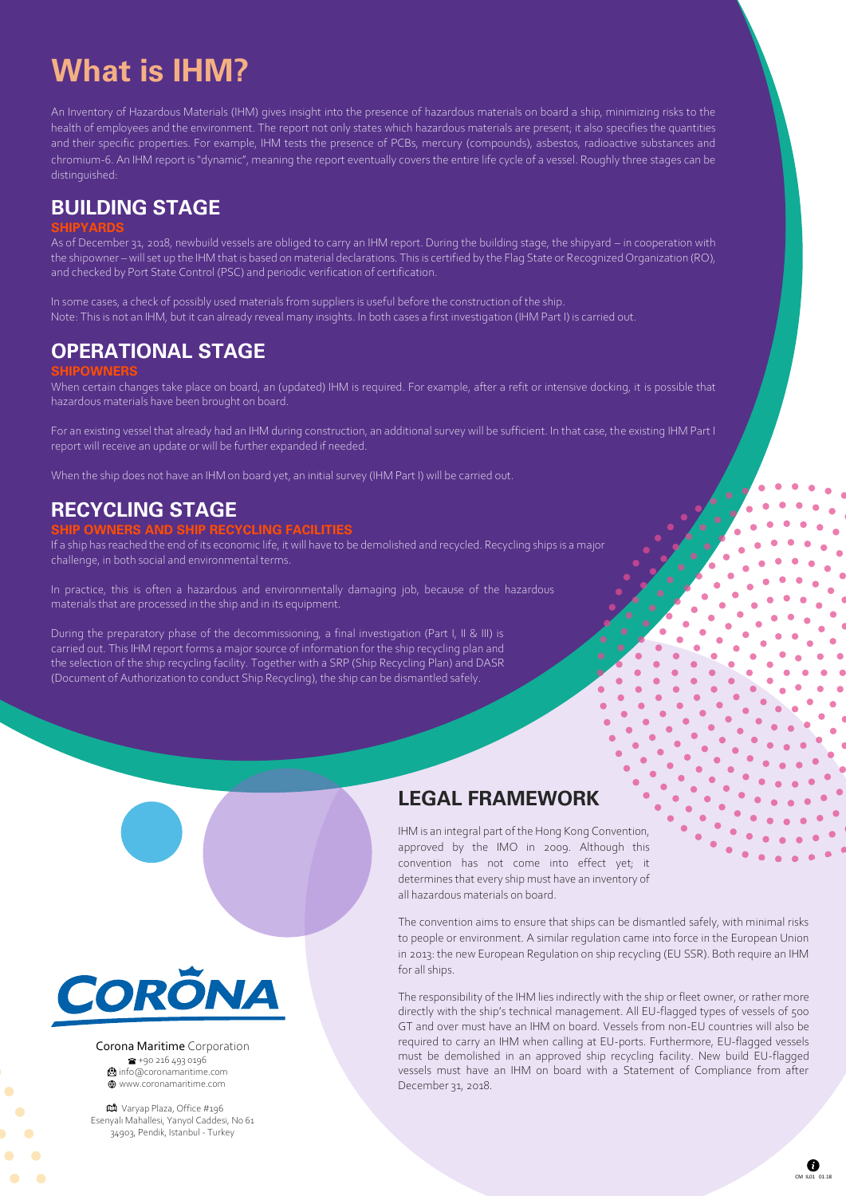# **What is IHM?**

An Inventory of Hazardous Materials (IHM) gives insight into the presence of hazardous materials on board a ship, minimizing risks to the health of employees and the environment. The report not only states which hazardous materials are present; it also specifies the quantities and their specific properties. For example, IHM tests the presence of PCBs, mercury (compounds), asbestos, radioactive substances and chromium-6. An IHM report is "dynamic", meaning the report eventually covers the entire life cycle of a vessel. Roughly three stages can be distinguished:

### **BUILDING STAGE**

#### **SHIPYARDS**

As of December 31, 2018, newbuild vessels are obliged to carry an IHM report. During the building stage, the shipyard – in cooperation with the shipowner – will set up the IHM that is based on material declarations. This is certified by the Flag State or Recognized Organization (RO), and checked by Port State Control (PSC) and periodic verification of certification.

In some cases, a check of possibly used materials from suppliers is useful before the construction of the ship. Note: This is not an IHM, but it can already reveal many insights. In both cases a first investigation (IHM Part I) is carried out.

### **OPERATIONAL STAGE**

#### **SHIPOWNERS**

When certain changes take place on board, an (updated) IHM is required. For example, after a refit or intensive docking, it is possible that hazardous materials have been brought on board.

For an existing vessel that already had an IHM during construction, an additional survey will be sufficient. In that case, the existing IHM Part I report will receive an update or will be further expanded if needed.

When the ship does not have an IHM on board yet, an initial survey (IHM Part I) will be carried out.

### **RECYCLING STAGE**

#### **SHIP OWNERS AND SHIP RECYCLING FACILITIES**

If a ship has reached the end of its economic life, it will have to be demolished and recycled. Recycling ships is a major challenge, in both social and environmental terms.

In practice, this is often a hazardous and environmentally damaging job, because of the hazardous materials that are processed in the ship and in its equipment.

During the preparatory phase of the decommissioning, a final investigation (Part I, II & III) is carried out. This IHM report forms a major source of information for the ship recycling plan and the selection of the ship recycling facility. Together with a SRP (Ship Recycling Plan) and DASR (Document of Authorization to conduct Ship Recycling), the ship can be dismantled safely.



Corona Maritime Corporation +90 216 493 0196 **b**info@coronamaritime.com www.coronamaritime.com

Varyap Plaza, Office #196 Esenyalı Mahallesi, Yanyol Caddesi, No 61 34903, Pendik, Istanbul - Turkey

## **LEGAL FRAMEWORK**

IHM is an integral part of the Hong Kong Convention, approved by the IMO in 2009. Although this convention has not come into effect yet; it determines that every ship must have an inventory of all hazardous materials on board.

The convention aims to ensure that ships can be dismantled safely, with minimal risks to people or environment. A similar regulation came into force in the European Union in 2013: the new European Regulation on ship recycling (EU SSR). Both require an IHM for all ships.

The responsibility of the IHM lies indirectly with the ship or fleet owner, or rather more directly with the ship's technical management. All EU-flagged types of vessels of 500 GT and over must have an IHM on board. Vessels from non-EU countries will also be required to carry an IHM when calling at EU-ports. Furthermore, EU-flagged vessels must be demolished in an approved ship recycling facility. New build EU-flagged vessels must have an IHM on board with a Statement of Compliance from after December 31, 2018.